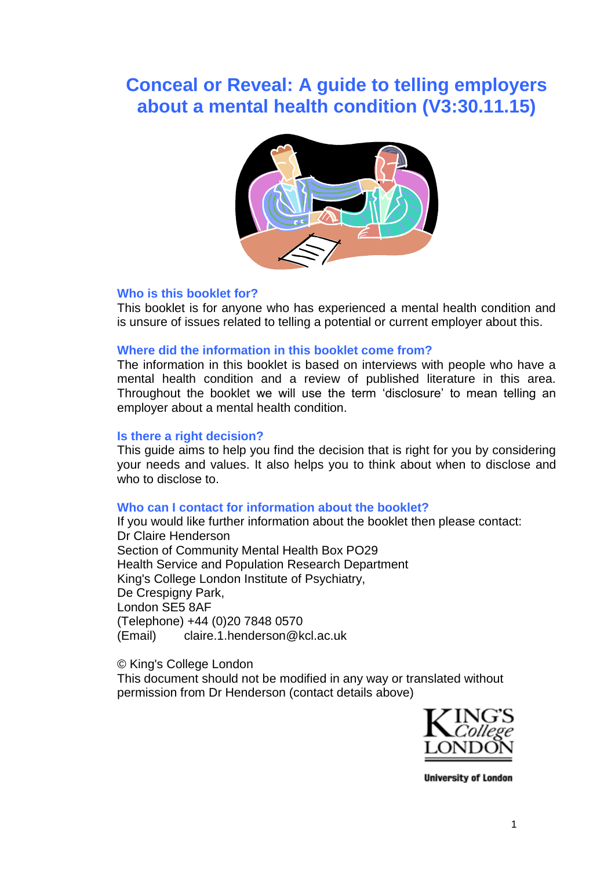# **Conceal or Reveal: A guide to telling employers about a mental health condition (V3:30.11.15)**



#### **Who is this booklet for?**

This booklet is for anyone who has experienced a mental health condition and is unsure of issues related to telling a potential or current employer about this.

#### **Where did the information in this booklet come from?**

The information in this booklet is based on interviews with people who have a mental health condition and a review of published literature in this area. Throughout the booklet we will use the term 'disclosure' to mean telling an employer about a mental health condition.

#### **Is there a right decision?**

This guide aims to help you find the decision that is right for you by considering your needs and values. It also helps you to think about when to disclose and who to disclose to.

#### **Who can I contact for information about the booklet?**

If you would like further information about the booklet then please contact: Dr Claire Henderson Section of Community Mental Health Box PO29 Health Service and Population Research Department King's College London Institute of Psychiatry, De Crespigny Park, London SE5 8AF (Telephone) +44 (0)20 7848 0570 (Email) claire.1.henderson@kcl.ac.uk

© King's College London

This document should not be modified in any way or translated without permission from Dr Henderson (contact details above)



**University of London**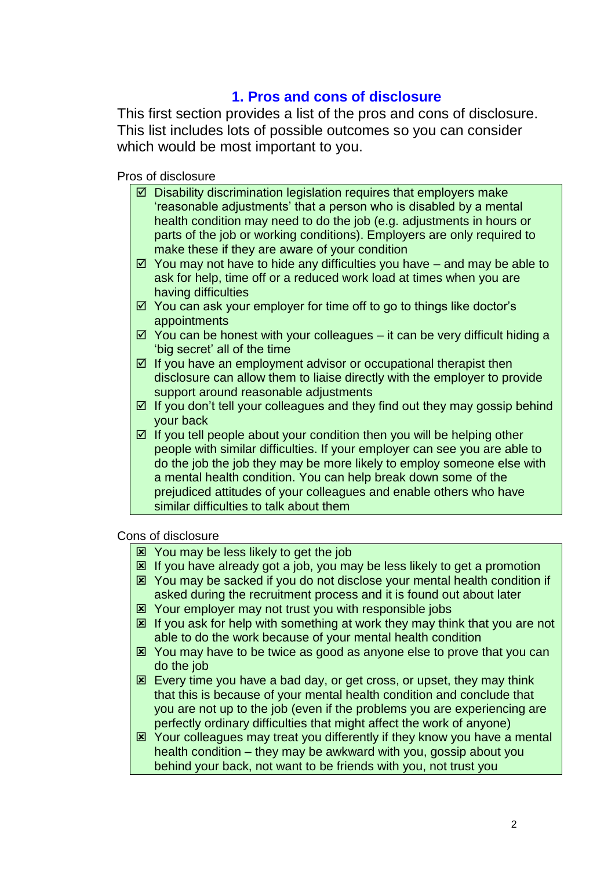## **1. Pros and cons of disclosure**

This first section provides a list of the pros and cons of disclosure. This list includes lots of possible outcomes so you can consider which would be most important to you.

Pros of disclosure

- $\boxtimes$  Disability discrimination legislation requires that employers make 'reasonable adjustments' that a person who is disabled by a mental health condition may need to do the job (e.g. adjustments in hours or parts of the job or working conditions). Employers are only required to make these if they are aware of your condition
- $\boxtimes$  You may not have to hide any difficulties you have and may be able to ask for help, time off or a reduced work load at times when you are having difficulties
- $\boxtimes$  You can ask your employer for time off to go to things like doctor's appointments
- $\boxtimes$  You can be honest with your colleagues it can be very difficult hiding a 'big secret' all of the time
- $\boxtimes$  If you have an employment advisor or occupational therapist then disclosure can allow them to liaise directly with the employer to provide support around reasonable adjustments
- $\boxtimes$  If you don't tell your colleagues and they find out they may gossip behind your back
- $\boxtimes$  If you tell people about your condition then you will be helping other people with similar difficulties. If your employer can see you are able to do the job the job they may be more likely to employ someone else with a mental health condition. You can help break down some of the prejudiced attitudes of your colleagues and enable others who have similar difficulties to talk about them

Cons of disclosure

- You may be less likely to get the job
- **E** If you have already got a job, you may be less likely to get a promotion
- You may be sacked if you do not disclose your mental health condition if asked during the recruitment process and it is found out about later
- Your employer may not trust you with responsible jobs
- $\boxtimes$  If you ask for help with something at work they may think that you are not able to do the work because of your mental health condition
- You may have to be twice as good as anyone else to prove that you can do the job
- **Every time you have a bad day, or get cross, or upset, they may think** that this is because of your mental health condition and conclude that you are not up to the job (even if the problems you are experiencing are perfectly ordinary difficulties that might affect the work of anyone)
- Your colleagues may treat you differently if they know you have a mental health condition – they may be awkward with you, gossip about you behind your back, not want to be friends with you, not trust you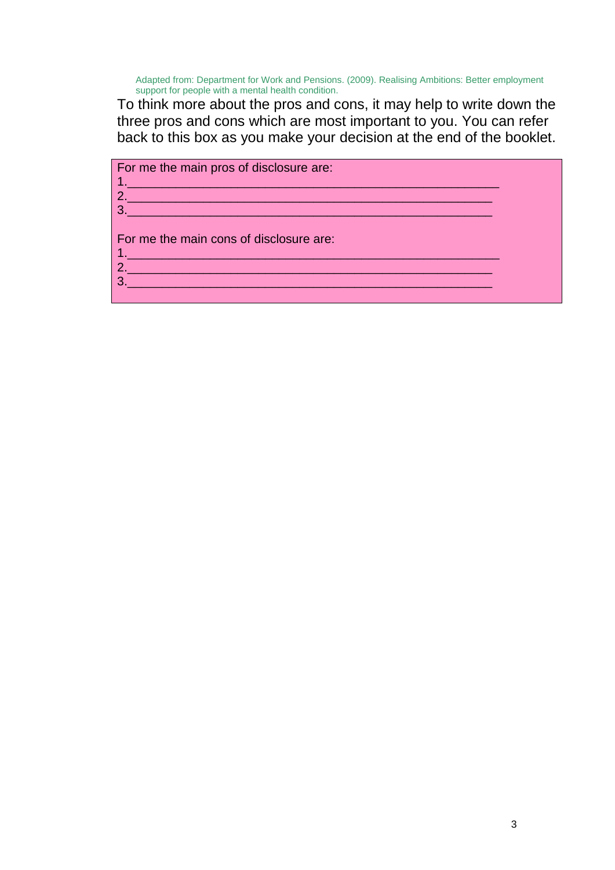Adapted from: Department for Work and Pensions. (2009). Realising Ambitions: Better employment support for people with a mental health condition.

To think more about the pros and cons, it may help to write down the three pros and cons which are most important to you. You can refer back to this box as you make your decision at the end of the booklet.

1.\_\_\_\_\_\_\_\_\_\_\_\_\_\_\_\_\_\_\_\_\_\_\_\_\_\_\_\_\_\_\_\_\_\_\_\_\_\_\_\_\_\_\_\_\_\_\_\_\_\_\_\_\_\_ 2.\_\_\_\_\_\_\_\_\_\_\_\_\_\_\_\_\_\_\_\_\_\_\_\_\_\_\_\_\_\_\_\_\_\_\_\_\_\_\_\_\_\_\_\_\_\_\_\_\_\_\_\_\_ 3.\_\_\_\_\_\_\_\_\_\_\_\_\_\_\_\_\_\_\_\_\_\_\_\_\_\_\_\_\_\_\_\_\_\_\_\_\_\_\_\_\_\_\_\_\_\_\_\_\_\_\_\_\_

3.\_\_\_\_\_\_\_\_\_\_\_\_\_\_\_\_\_\_\_\_\_\_\_\_\_\_\_\_\_\_\_\_\_\_\_\_\_\_\_\_\_\_\_\_\_\_\_\_\_\_\_\_\_

For me the main pros of disclosure are:

For me the main cons of disclosure are:

1.\_\_\_\_\_\_\_\_\_\_\_\_\_\_\_\_\_\_\_\_\_\_\_\_\_\_\_\_\_\_\_\_\_\_\_\_\_\_\_\_\_\_\_\_\_\_\_\_\_\_\_\_\_\_ 2.\_\_\_\_\_\_\_\_\_\_\_\_\_\_\_\_\_\_\_\_\_\_\_\_\_\_\_\_\_\_\_\_\_\_\_\_\_\_\_\_\_\_\_\_\_\_\_\_\_\_\_\_\_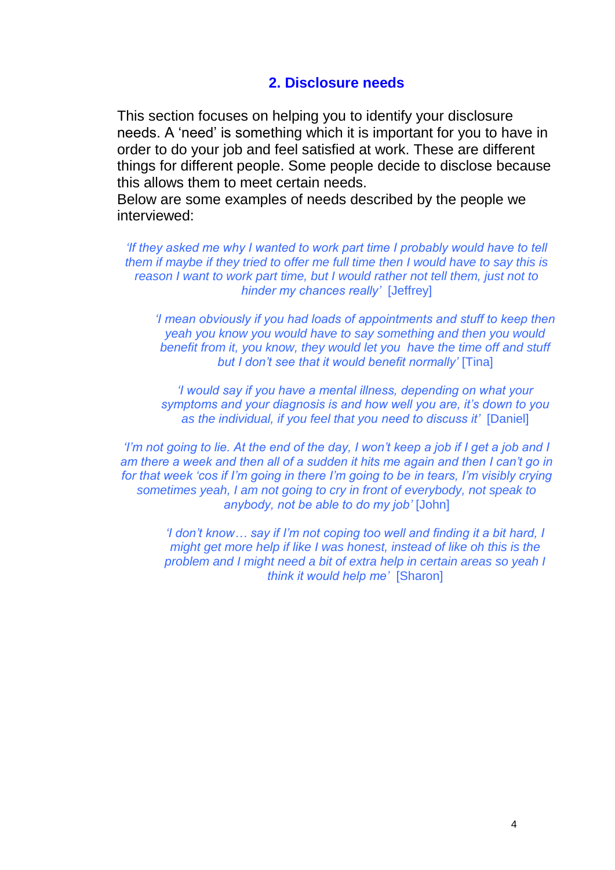## **2. Disclosure needs**

This section focuses on helping you to identify your disclosure needs. A 'need' is something which it is important for you to have in order to do your job and feel satisfied at work. These are different things for different people. Some people decide to disclose because this allows them to meet certain needs.

Below are some examples of needs described by the people we interviewed:

*'If they asked me why I wanted to work part time I probably would have to tell them if maybe if they tried to offer me full time then I would have to say this is reason I want to work part time, but I would rather not tell them, just not to hinder my chances really'* [Jeffrey]

*'I mean obviously if you had loads of appointments and stuff to keep then yeah you know you would have to say something and then you would benefit from it, you know, they would let you have the time off and stuff but I don't see that it would benefit normally'* [Tina]

*'I would say if you have a mental illness, depending on what your symptoms and your diagnosis is and how well you are, it's down to you as the individual, if you feel that you need to discuss it'* [Daniel]

*'I'm not going to lie. At the end of the day, I won't keep a job if I get a job and I am there a week and then all of a sudden it hits me again and then I can't go in for that week 'cos if I'm going in there I'm going to be in tears, I'm visibly crying sometimes yeah, I am not going to cry in front of everybody, not speak to anybody, not be able to do my job'* [John]

*'I don't know… say if I'm not coping too well and finding it a bit hard, I might get more help if like I was honest, instead of like oh this is the problem and I might need a bit of extra help in certain areas so yeah I think it would help me'* [Sharon]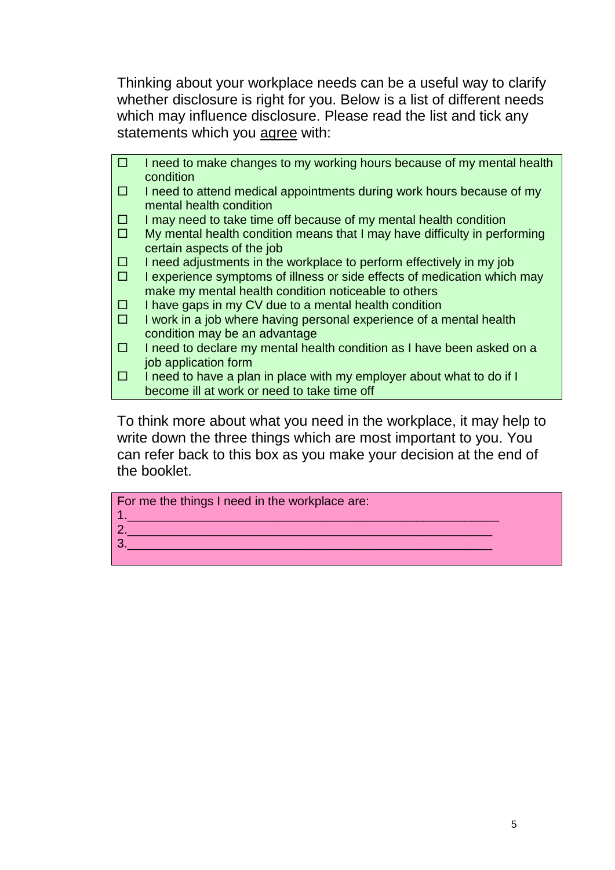Thinking about your workplace needs can be a useful way to clarify whether disclosure is right for you. Below is a list of different needs which may influence disclosure. Please read the list and tick any statements which you agree with:

 $\Box$  I need to make changes to my working hours because of my mental health condition  $\Box$  I need to attend medical appointments during work hours because of my mental health condition  $\Box$  I may need to take time off because of my mental health condition  $\Box$  My mental health condition means that I may have difficulty in performing certain aspects of the job  $\Box$  I need adjustments in the workplace to perform effectively in my job  $\Box$  I experience symptoms of illness or side effects of medication which may make my mental health condition noticeable to others  $\Box$  I have gaps in my CV due to a mental health condition  $\Box$  I work in a job where having personal experience of a mental health condition may be an advantage  $\Box$  I need to declare my mental health condition as I have been asked on a job application form  $\Box$  I need to have a plan in place with my employer about what to do if I become ill at work or need to take time off

To think more about what you need in the workplace, it may help to write down the three things which are most important to you. You can refer back to this box as you make your decision at the end of the booklet.

For me the things I need in the workplace are:

- 1.\_\_\_\_\_\_\_\_\_\_\_\_\_\_\_\_\_\_\_\_\_\_\_\_\_\_\_\_\_\_\_\_\_\_\_\_\_\_\_\_\_\_\_\_\_\_\_\_\_\_\_\_\_\_ 2.\_\_\_\_\_\_\_\_\_\_\_\_\_\_\_\_\_\_\_\_\_\_\_\_\_\_\_\_\_\_\_\_\_\_\_\_\_\_\_\_\_\_\_\_\_\_\_\_\_\_\_\_\_
- 3.\_\_\_\_\_\_\_\_\_\_\_\_\_\_\_\_\_\_\_\_\_\_\_\_\_\_\_\_\_\_\_\_\_\_\_\_\_\_\_\_\_\_\_\_\_\_\_\_\_\_\_\_\_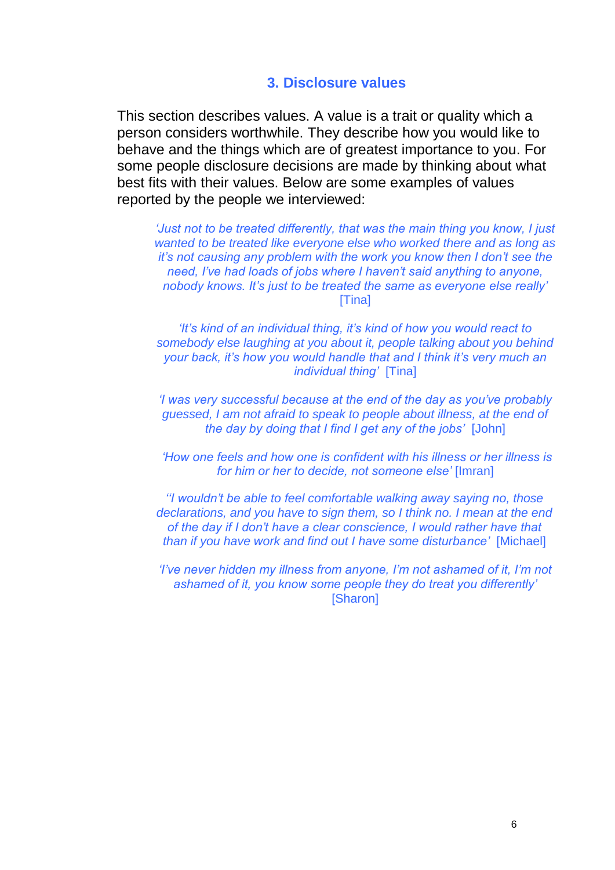### **3. Disclosure values**

This section describes values. A value is a trait or quality which a person considers worthwhile. They describe how you would like to behave and the things which are of greatest importance to you. For some people disclosure decisions are made by thinking about what best fits with their values. Below are some examples of values reported by the people we interviewed:

*'Just not to be treated differently, that was the main thing you know, I just wanted to be treated like everyone else who worked there and as long as it's not causing any problem with the work you know then I don't see the need, I've had loads of jobs where I haven't said anything to anyone, nobody knows. It's just to be treated the same as everyone else really'* [Tina]

*'It's kind of an individual thing, it's kind of how you would react to somebody else laughing at you about it, people talking about you behind your back, it's how you would handle that and I think it's very much an individual thing'* [Tina]

*'I was very successful because at the end of the day as you've probably guessed, I am not afraid to speak to people about illness, at the end of the day by doing that I find I get any of the jobs'* [John]

*'How one feels and how one is confident with his illness or her illness is for him or her to decide, not someone else'* [Imran]

*''I wouldn't be able to feel comfortable walking away saying no, those declarations, and you have to sign them, so I think no. I mean at the end of the day if I don't have a clear conscience, I would rather have that than if you have work and find out I have some disturbance'* [Michael]

*'I've never hidden my illness from anyone, I'm not ashamed of it, I'm not ashamed of it, you know some people they do treat you differently'* [Sharon]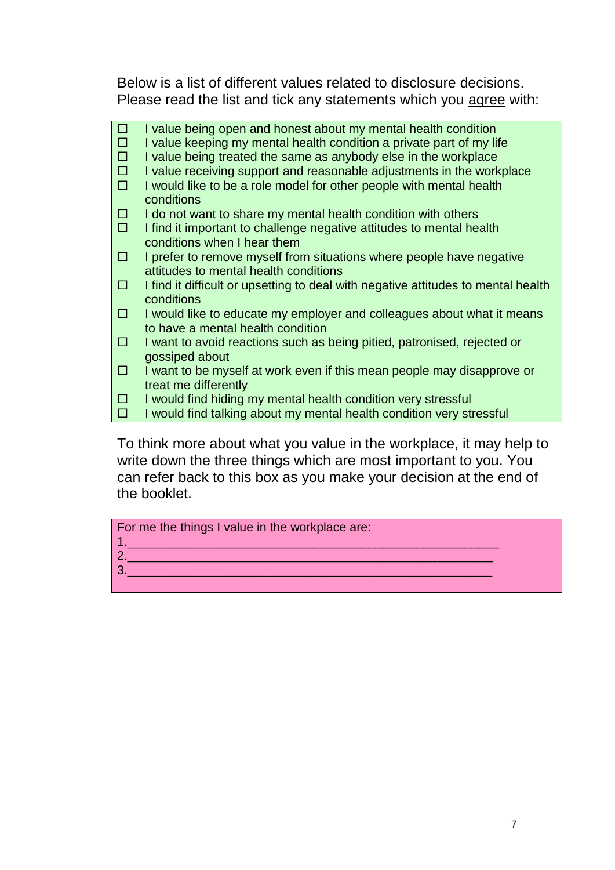Below is a list of different values related to disclosure decisions. Please read the list and tick any statements which you agree with:

| $\Box$ | I value being open and honest about my mental health condition                    |
|--------|-----------------------------------------------------------------------------------|
| □      | I value keeping my mental health condition a private part of my life              |
| $\Box$ | I value being treated the same as anybody else in the workplace                   |
| $\Box$ | I value receiving support and reasonable adjustments in the workplace             |
| П      | I would like to be a role model for other people with mental health               |
|        | conditions                                                                        |
| □      | I do not want to share my mental health condition with others                     |
| □      | I find it important to challenge negative attitudes to mental health              |
|        | conditions when I hear them                                                       |
| □      | I prefer to remove myself from situations where people have negative              |
|        | attitudes to mental health conditions                                             |
| □      | I find it difficult or upsetting to deal with negative attitudes to mental health |
|        | conditions                                                                        |
| □      | I would like to educate my employer and colleagues about what it means            |
|        | to have a mental health condition                                                 |
| □      | I want to avoid reactions such as being pitied, patronised, rejected or           |
|        | gossiped about                                                                    |
| □      | I want to be myself at work even if this mean people may disapprove or            |
|        | treat me differently                                                              |
| □      | I would find hiding my mental health condition very stressful                     |
| □      | I would find talking about my mental health condition very stressful              |

To think more about what you value in the workplace, it may help to write down the three things which are most important to you. You can refer back to this box as you make your decision at the end of the booklet.

For me the things I value in the workplace are:

- 1.\_\_\_\_\_\_\_\_\_\_\_\_\_\_\_\_\_\_\_\_\_\_\_\_\_\_\_\_\_\_\_\_\_\_\_\_\_\_\_\_\_\_\_\_\_\_\_\_\_\_\_\_\_\_ 2.\_\_\_\_\_\_\_\_\_\_\_\_\_\_\_\_\_\_\_\_\_\_\_\_\_\_\_\_\_\_\_\_\_\_\_\_\_\_\_\_\_\_\_\_\_\_\_\_\_\_\_\_\_
- 3.\_\_\_\_\_\_\_\_\_\_\_\_\_\_\_\_\_\_\_\_\_\_\_\_\_\_\_\_\_\_\_\_\_\_\_\_\_\_\_\_\_\_\_\_\_\_\_\_\_\_\_\_\_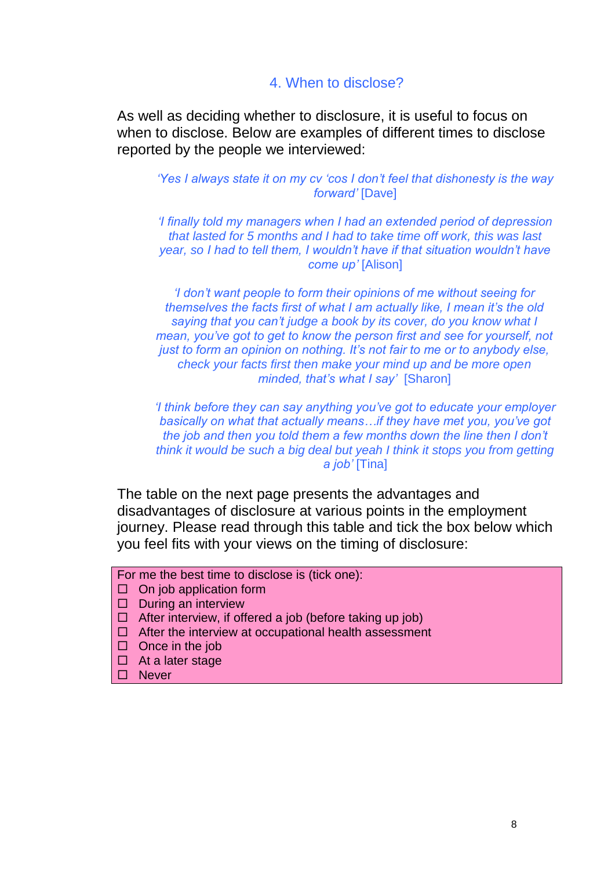### 4. When to disclose?

As well as deciding whether to disclosure, it is useful to focus on when to disclose. Below are examples of different times to disclose reported by the people we interviewed:

*'Yes I always state it on my cv 'cos I don't feel that dishonesty is the way forward'* [Dave]

*'I finally told my managers when I had an extended period of depression that lasted for 5 months and I had to take time off work, this was last year, so I had to tell them, I wouldn't have if that situation wouldn't have come up'* [Alison]

*'I don't want people to form their opinions of me without seeing for themselves the facts first of what I am actually like, I mean it's the old saying that you can't judge a book by its cover, do you know what I mean, you've got to get to know the person first and see for yourself, not just to form an opinion on nothing. It's not fair to me or to anybody else, check your facts first then make your mind up and be more open minded, that's what I say'* [Sharon]

*'I think before they can say anything you've got to educate your employer basically on what that actually means…if they have met you, you've got the job and then you told them a few months down the line then I don't think it would be such a big deal but yeah I think it stops you from getting a job'* [Tina]

The table on the next page presents the advantages and disadvantages of disclosure at various points in the employment journey. Please read through this table and tick the box below which you feel fits with your views on the timing of disclosure:

- For me the best time to disclose is (tick one):
- $\Box$  On job application form
- $\square$  During an interview
- $\Box$  After interview, if offered a job (before taking up job)
- $\Box$  After the interview at occupational health assessment
- $\Box$  Once in the job
- $\Box$  At a later stage
- □ Never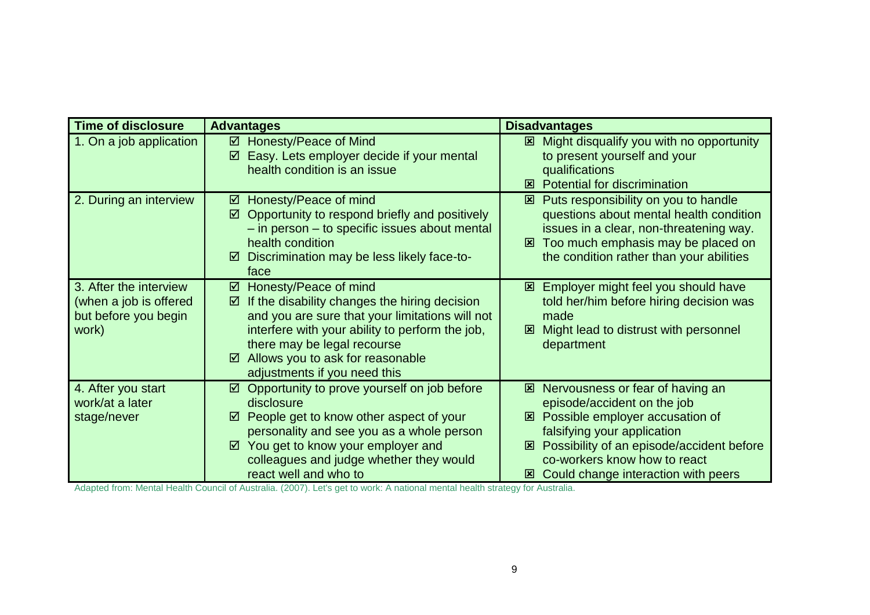| <b>Time of disclosure</b>                                                         | <b>Advantages</b>                                                                                                                                                                                                                                                                              | <b>Disadvantages</b>                                                                                                                                                                                                                                                                      |
|-----------------------------------------------------------------------------------|------------------------------------------------------------------------------------------------------------------------------------------------------------------------------------------------------------------------------------------------------------------------------------------------|-------------------------------------------------------------------------------------------------------------------------------------------------------------------------------------------------------------------------------------------------------------------------------------------|
| 1. On a job application                                                           | ☑ Honesty/Peace of Mind<br>Easy. Lets employer decide if your mental<br>☑<br>health condition is an issue                                                                                                                                                                                      | Might disqualify you with no opportunity<br>$\mathbf{x}$<br>to present yourself and your<br>qualifications<br><b>Potential for discrimination</b><br>⊠                                                                                                                                    |
| 2. During an interview                                                            | Honesty/Peace of mind<br>☑<br>Opportunity to respond briefly and positively<br>☑<br>- in person - to specific issues about mental<br>health condition<br>Discrimination may be less likely face-to-<br>☑<br>face                                                                               | Puts responsibility on you to handle<br>⊠<br>questions about mental health condition<br>issues in a clear, non-threatening way.<br>Too much emphasis may be placed on<br>⊠<br>the condition rather than your abilities                                                                    |
| 3. After the interview<br>(when a job is offered<br>but before you begin<br>work) | Honesty/Peace of mind<br>☑<br>If the disability changes the hiring decision<br>☑<br>and you are sure that your limitations will not<br>interfere with your ability to perform the job,<br>there may be legal recourse<br>Allows you to ask for reasonable<br>☑<br>adjustments if you need this | Employer might feel you should have<br>$\mathbf{x}$<br>told her/him before hiring decision was<br>made<br>Might lead to distrust with personnel<br>図<br>department                                                                                                                        |
| 4. After you start<br>work/at a later<br>stage/never                              | $\boxtimes$ Opportunity to prove yourself on job before<br>disclosure<br>People get to know other aspect of your<br>☑<br>personality and see you as a whole person<br>$\boxtimes$ You get to know your employer and<br>colleagues and judge whether they would<br>react well and who to        | <b>E</b> Nervousness or fear of having an<br>episode/accident on the job<br><b>図 Possible employer accusation of</b><br>falsifying your application<br><b>E</b> Possibility of an episode/accident before<br>co-workers know how to react<br><b>図 Could change interaction with peers</b> |

Adapted from: Mental Health Council of Australia. (2007). Let's get to work: A national mental health strategy for Australia.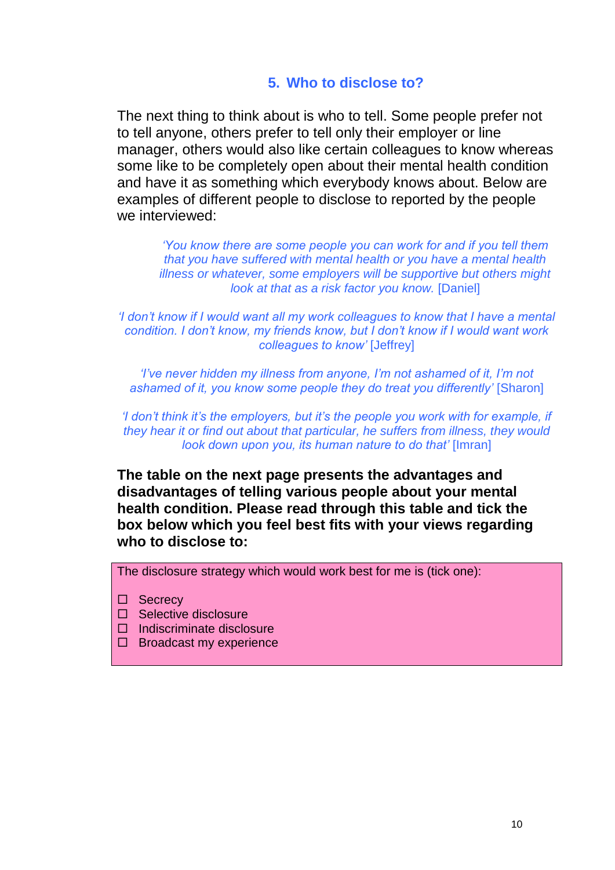## **5. Who to disclose to?**

The next thing to think about is who to tell. Some people prefer not to tell anyone, others prefer to tell only their employer or line manager, others would also like certain colleagues to know whereas some like to be completely open about their mental health condition and have it as something which everybody knows about. Below are examples of different people to disclose to reported by the people we interviewed:

*'You know there are some people you can work for and if you tell them that you have suffered with mental health or you have a mental health illness or whatever, some employers will be supportive but others might look at that as a risk factor you know.* [Daniel]

*'I don't know if I would want all my work colleagues to know that I have a mental condition. I don't know, my friends know, but I don't know if I would want work colleagues to know'* [Jeffrey]

*'I've never hidden my illness from anyone, I'm not ashamed of it, I'm not ashamed of it, you know some people they do treat you differently'* [Sharon]

*'I don't think it's the employers, but it's the people you work with for example, if they hear it or find out about that particular, he suffers from illness, they would look down upon you, its human nature to do that'* [Imran]

**The table on the next page presents the advantages and disadvantages of telling various people about your mental health condition. Please read through this table and tick the box below which you feel best fits with your views regarding who to disclose to:**

The disclosure strategy which would work best for me is (tick one):

- □ Secrecy
- $\Box$  Selective disclosure
- Indiscriminate disclosure
- $\Box$  Broadcast my experience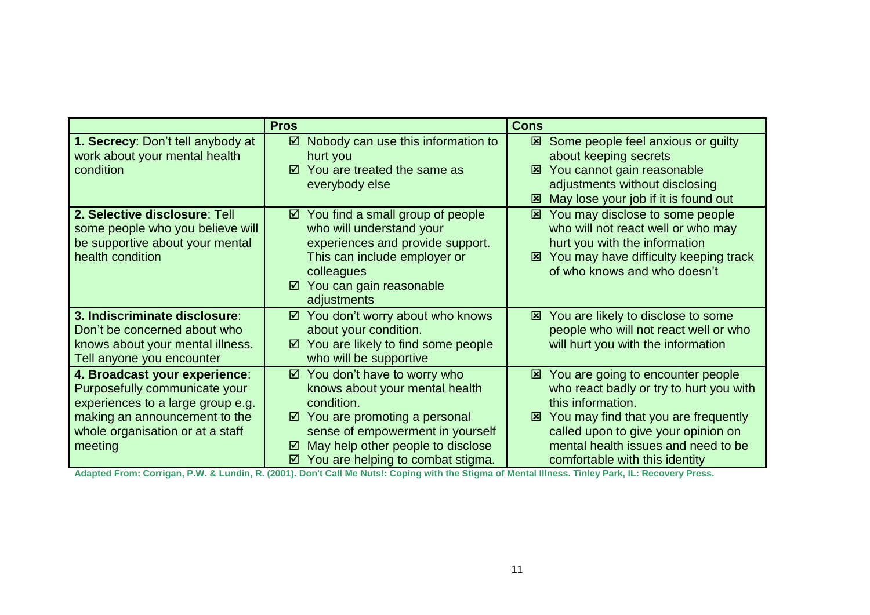|                                                                                                                                                                                     | <b>Pros</b>                                                                                                                                                                                                                                          | <b>Cons</b>                                                                                                                                                                                                                                                      |
|-------------------------------------------------------------------------------------------------------------------------------------------------------------------------------------|------------------------------------------------------------------------------------------------------------------------------------------------------------------------------------------------------------------------------------------------------|------------------------------------------------------------------------------------------------------------------------------------------------------------------------------------------------------------------------------------------------------------------|
| 1. Secrecy: Don't tell anybody at<br>work about your mental health<br>condition                                                                                                     | Nobody can use this information to<br>☑<br>hurt you<br>You are treated the same as<br>☑<br>everybody else                                                                                                                                            | <b>E</b> Some people feel anxious or guilty<br>about keeping secrets<br>You cannot gain reasonable<br>⊠<br>adjustments without disclosing<br>May lose your job if it is found out<br>⊠                                                                           |
| 2. Selective disclosure: Tell<br>some people who you believe will<br>be supportive about your mental<br>health condition                                                            | $\boxtimes$ You find a small group of people<br>who will understand your<br>experiences and provide support.<br>This can include employer or<br>colleagues<br>You can gain reasonable<br>☑<br>adjustments                                            | <b>⊠</b> You may disclose to some people<br>who will not react well or who may<br>hurt you with the information<br>You may have difficulty keeping track<br>図<br>of who knows and who doesn't                                                                    |
| 3. Indiscriminate disclosure:<br>Don't be concerned about who<br>knows about your mental illness.<br>Tell anyone you encounter                                                      | You don't worry about who knows<br>☑<br>about your condition.<br>You are likely to find some people<br>☑<br>who will be supportive                                                                                                                   | <b>E</b> You are likely to disclose to some<br>people who will not react well or who<br>will hurt you with the information                                                                                                                                       |
| 4. Broadcast your experience:<br>Purposefully communicate your<br>experiences to a large group e.g.<br>making an announcement to the<br>whole organisation or at a staff<br>meeting | You don't have to worry who<br>☑<br>knows about your mental health<br>condition.<br>You are promoting a personal<br>☑<br>sense of empowerment in yourself<br>May help other people to disclose<br>☑<br>$\boxtimes$ You are helping to combat stigma. | ⊠ You are going to encounter people<br>who react badly or try to hurt you with<br>this information.<br>You may find that you are frequently<br>⊠<br>called upon to give your opinion on<br>mental health issues and need to be<br>comfortable with this identity |

**Adapted From: Corrigan, P.W. & Lundin, R. (2001). Don't Call Me Nuts!: Coping with the Stigma of Mental Illness. Tinley Park, IL: Recovery Press.**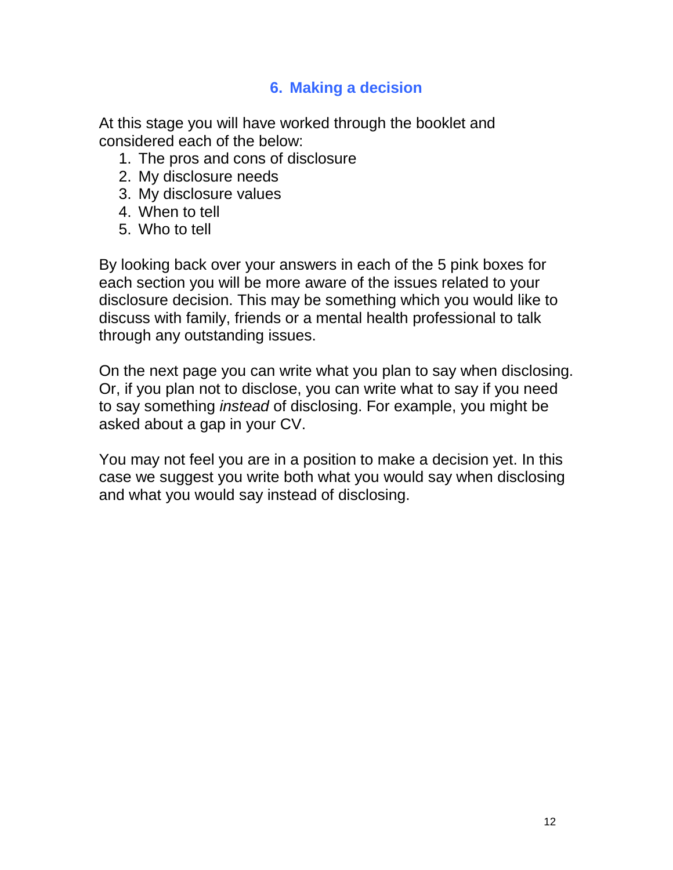# **6. Making a decision**

At this stage you will have worked through the booklet and considered each of the below:

- 1. The pros and cons of disclosure
- 2. My disclosure needs
- 3. My disclosure values
- 4. When to tell
- 5. Who to tell

By looking back over your answers in each of the 5 pink boxes for each section you will be more aware of the issues related to your disclosure decision. This may be something which you would like to discuss with family, friends or a mental health professional to talk through any outstanding issues.

On the next page you can write what you plan to say when disclosing. Or, if you plan not to disclose, you can write what to say if you need to say something *instead* of disclosing. For example, you might be asked about a gap in your CV.

You may not feel you are in a position to make a decision yet. In this case we suggest you write both what you would say when disclosing and what you would say instead of disclosing.